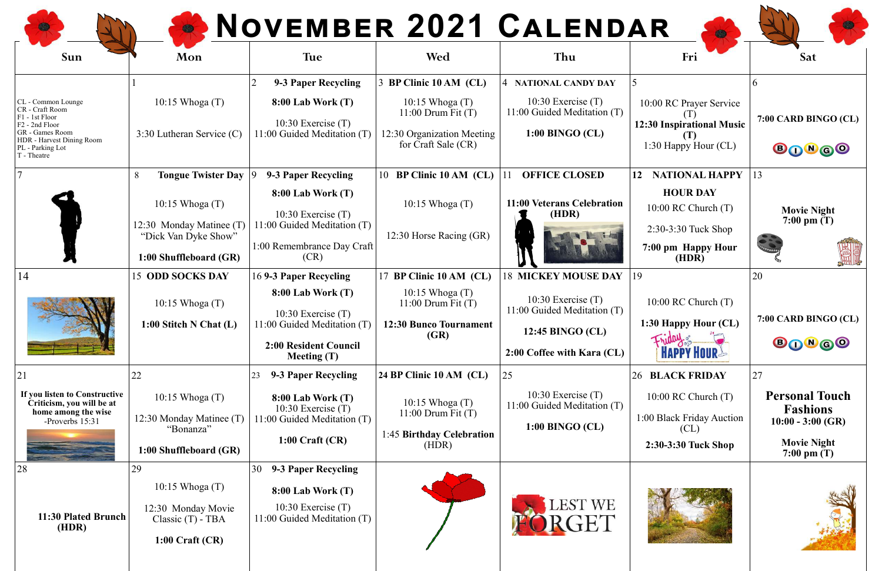| Sun                                                                                                                                                                      | Mon                                                                                                                                | <b>Tue</b>                                                                                                                                           | Wed                                                                                                               | <b>NOVEMBER 2021 CALENDAR</b><br>Thu                                                                                                | Fri                                                                                                                             | <b>Sat</b>                                                                                                   |
|--------------------------------------------------------------------------------------------------------------------------------------------------------------------------|------------------------------------------------------------------------------------------------------------------------------------|------------------------------------------------------------------------------------------------------------------------------------------------------|-------------------------------------------------------------------------------------------------------------------|-------------------------------------------------------------------------------------------------------------------------------------|---------------------------------------------------------------------------------------------------------------------------------|--------------------------------------------------------------------------------------------------------------|
|                                                                                                                                                                          |                                                                                                                                    | 9-3 Paper Recycling                                                                                                                                  | 3 BP Clinic 10 AM (CL)                                                                                            | <b>4 NATIONAL CANDY DAY</b>                                                                                                         |                                                                                                                                 |                                                                                                              |
| CL - Common Lounge<br>CR - Craft Room<br>F1 - 1st Floor<br>F <sub>2</sub> - 2nd Floor<br>GR - Games Room<br>HDR - Harvest Dining Room<br>PL - Parking Lot<br>T - Theatre | $10:15$ Whoga $(T)$<br>3:30 Lutheran Service (C)                                                                                   | $8:00$ Lab Work $(T)$<br>10:30 Exercise $(T)$<br>11:00 Guided Meditation (T)                                                                         | $10:15$ Whoga $(T)$<br>$11:00$ Drum Fit $(T)$<br>12:30 Organization Meeting<br>for Craft Sale (CR)                | 10:30 Exercise $(T)$<br>11:00 Guided Meditation (T)<br>1:00 BINGO (CL)                                                              | 10:00 RC Prayer Service<br><b>12:30 Inspirational Music</b><br>1:30 Happy Hour (CL)                                             | 7:00 CARD BINGO (CL)<br><b>BONGO</b>                                                                         |
|                                                                                                                                                                          | <b>Tongue Twister Day</b><br>8<br>$10:15$ Whoga $(T)$<br>12:30 Monday Matinee (T<br>"Dick Van Dyke Show"<br>1:00 Shuffleboard (GR) | 9-3 Paper Recycling<br><b>8:00 Lab Work (T)</b><br>10:30 Exercise $(T)$<br>1:00 Guided Meditation (T)<br>1:00 Remembrance Day Craft<br>(CR)          | 10 BP Clinic 10 AM (CL)<br>$10:15$ Whoga $(T)$<br>12:30 Horse Racing (GR)                                         | <b>OFFICE CLOSED</b><br>11:00 Veterans Celebration<br>(HDR)                                                                         | <b>NATIONAL HAPPY</b><br>12<br><b>HOUR DAY</b><br>$10:00$ RC Church $(T)$<br>2:30-3:30 Tuck Shop<br>7:00 pm Happy Hour<br>(HDR) | 13<br><b>Movie Night</b><br>7:00 pm $(T)$                                                                    |
| 14                                                                                                                                                                       | <b>15 ODD SOCKS DAY</b><br>10:15 Whoga (T)<br>1:00 Stitch N Chat $(L)$                                                             | 169-3 Paper Recycling<br>$8:00$ Lab Work $(T)$<br>10:30 Exercise $(T)$<br>11:00 Guided Meditation (T)<br>2:00 Resident Council<br><b>Meeting (T)</b> | 17 BP Clinic 10 AM (CL)<br>$10:15$ Whoga $(T)$<br>$11:00$ Drum Fit $(T)$<br><b>12:30 Bunco Tournament</b><br>(GR) | <b>18 MICKEY MOUSE DAY</b><br>10:30 Exercise $(T)$<br>11:00 Guided Meditation (T)<br>12:45 BINGO (CL)<br>2:00 Coffee with Kara (CL) | 19<br>$10:00$ RC Church $(T)$<br>1:30 Happy Hour (CL)<br><b>HAPPY HOUR!</b>                                                     | 20<br>7:00 CARD BINGO (CL)<br><b>BONGO</b>                                                                   |
| 21<br>If you listen to Constructive<br>Criticism, you will be at<br>home among the wise<br>-Proverbs 15:31                                                               | 22<br>$10:15$ Whoga $(T)$<br>12:30 Monday Matinee (T)<br>"Bonanza"<br>1:00 Shuffleboard (GR)                                       | 9-3 Paper Recycling<br>23<br>$8:00$ Lab Work $(T)$<br>10:30 Exercise $(T)$<br>11:00 Guided Meditation (T)<br>$1:00$ Craft (CR)                       | 24 BP Clinic 10 AM (CL)<br>$10:15$ Whoga $(T)$<br>$11:00$ Drum Fit $(T)$<br>1:45 Birthday Celebration<br>(HDR)    | 25<br>10:30 Exercise $(T)$<br>11:00 Guided Meditation (T)<br>1:00 BINGO (CL)                                                        | <b>26 BLACK FRIDAY</b><br>$10:00$ RC Church $(T)$<br>1:00 Black Friday Auction<br>CL<br>2:30-3:30 Tuck Shop                     | 27<br><b>Personal Touch</b><br><b>Fashions</b><br>$10:00 - 3:00$ (GR)<br><b>Movie Night</b><br>7:00 pm $(T)$ |
| 28<br>11:30 Plated Brunch<br>(HDR)                                                                                                                                       | 29<br>$10:15$ Whoga $(T)$<br>12:30 Monday Movie<br>Classic $(T)$ - TBA<br>$1:00$ Craft (CR)                                        | 9-3 Paper Recycling<br>30<br>$8:00$ Lab Work $(T)$<br>10:30 Exercise $(T)$<br>11:00 Guided Meditation (T)                                            |                                                                                                                   | LEST WE<br><b>RGET</b>                                                                                                              |                                                                                                                                 |                                                                                                              |